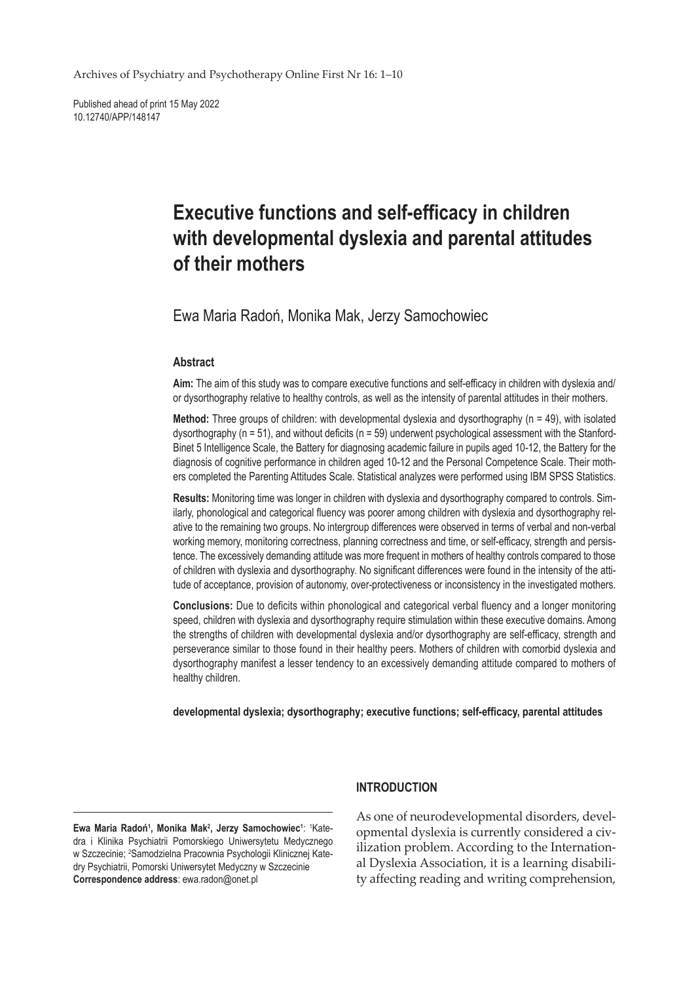Archives of Psychiatry and Psychotherapy Online First Nr 16: 1–10

Published ahead of print 15 May 2022 10.12740/APP/148147

# **Executive functions and self-efficacy in children with developmental dyslexia and parental attitudes of their mothers**

Ewa Maria Radoń, Monika Mak, Jerzy Samochowiec

## **Abstract**

**Aim:** The aim of this study was to compare executive functions and self-efficacy in children with dyslexia and/ or dysorthography relative to healthy controls, as well as the intensity of parental attitudes in their mothers.

**Method:** Three groups of children: with developmental dyslexia and dysorthography (n = 49), with isolated dysorthography (n = 51), and without deficits (n = 59) underwent psychological assessment with the Stanford-Binet 5 Intelligence Scale, the Battery for diagnosing academic failure in pupils aged 10-12, the Battery for the diagnosis of cognitive performance in children aged 10-12 and the Personal Competence Scale. Their mothers completed the Parenting Attitudes Scale. Statistical analyzes were performed using IBM SPSS Statistics.

**Results:** Monitoring time was longer in children with dyslexia and dysorthography compared to controls. Similarly, phonological and categorical fluency was poorer among children with dyslexia and dysorthography relative to the remaining two groups. No intergroup differences were observed in terms of verbal and non-verbal working memory, monitoring correctness, planning correctness and time, or self-efficacy, strength and persistence. The excessively demanding attitude was more frequent in mothers of healthy controls compared to those of children with dyslexia and dysorthography. No significant differences were found in the intensity of the attitude of acceptance, provision of autonomy, over-protectiveness or inconsistency in the investigated mothers.

**Conclusions:** Due to deficits within phonological and categorical verbal fluency and a longer monitoring speed, children with dyslexia and dysorthography require stimulation within these executive domains. Among the strengths of children with developmental dyslexia and/or dysorthography are self-efficacy, strength and perseverance similar to those found in their healthy peers. Mothers of children with comorbid dyslexia and dysorthography manifest a lesser tendency to an excessively demanding attitude compared to mothers of healthy children.

**developmental dyslexia; dysorthography; executive functions; self-efficacy, parental attitudes**

**Ewa Maria Radoń<sup>1</sup> , Monika Mak<sup>2</sup> , Jerzy Samochowiec<sup>1</sup>** : 1 Katedra i Klinika Psychiatrii Pomorskiego Uniwersytetu Medycznego w Szczecinie; <sup>2</sup>Samodzielna Pracownia Psychologii Klinicznej Katedry Psychiatrii, Pomorski Uniwersytet Medyczny w Szczecinie **Correspondence address**: ewa.radon@onet.pl

# **INTRODUCTION**

As one of neurodevelopmental disorders, developmental dyslexia is currently considered a civilization problem. According to the International Dyslexia Association, it is a learning disability affecting reading and writing comprehension,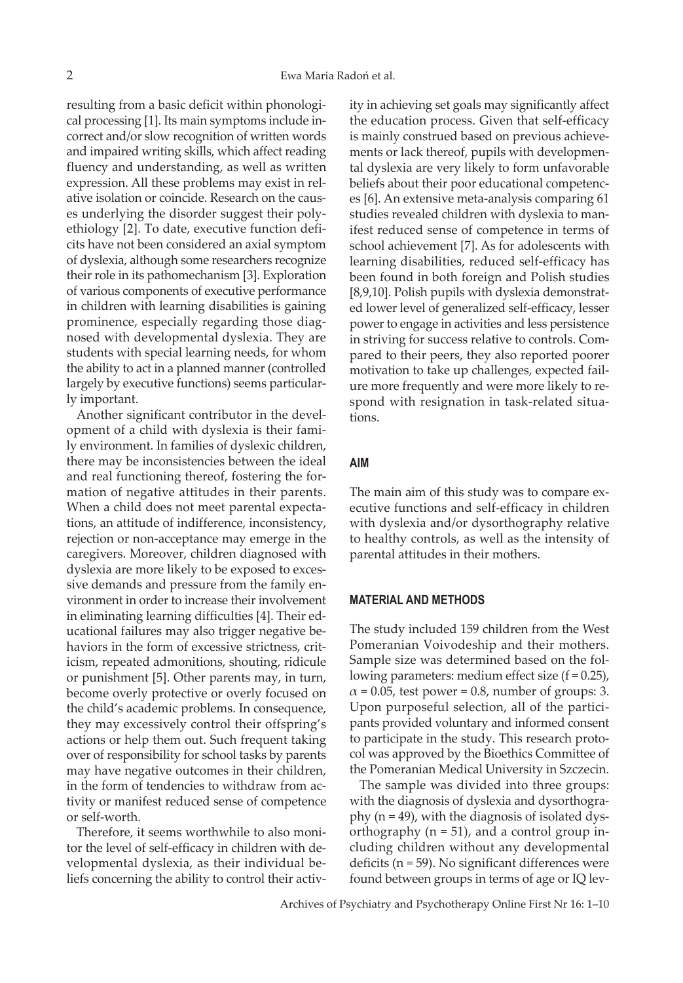resulting from a basic deficit within phonological processing [1]. Its main symptoms include incorrect and/or slow recognition of written words and impaired writing skills, which affect reading fluency and understanding, as well as written expression. All these problems may exist in relative isolation or coincide. Research on the causes underlying the disorder suggest their polyethiology [2]. To date, executive function deficits have not been considered an axial symptom of dyslexia, although some researchers recognize their role in its pathomechanism [3]. Exploration of various components of executive performance in children with learning disabilities is gaining prominence, especially regarding those diagnosed with developmental dyslexia. They are students with special learning needs, for whom the ability to act in a planned manner (controlled largely by executive functions) seems particularly important.

Another significant contributor in the development of a child with dyslexia is their family environment. In families of dyslexic children, there may be inconsistencies between the ideal and real functioning thereof, fostering the formation of negative attitudes in their parents. When a child does not meet parental expectations, an attitude of indifference, inconsistency, rejection or non-acceptance may emerge in the caregivers. Moreover, children diagnosed with dyslexia are more likely to be exposed to excessive demands and pressure from the family environment in order to increase their involvement in eliminating learning difficulties [4]. Their educational failures may also trigger negative behaviors in the form of excessive strictness, criticism, repeated admonitions, shouting, ridicule or punishment [5]. Other parents may, in turn, become overly protective or overly focused on the child's academic problems. In consequence, they may excessively control their offspring's actions or help them out. Such frequent taking over of responsibility for school tasks by parents may have negative outcomes in their children, in the form of tendencies to withdraw from activity or manifest reduced sense of competence or self-worth.

Therefore, it seems worthwhile to also monitor the level of self-efficacy in children with developmental dyslexia, as their individual beliefs concerning the ability to control their activity in achieving set goals may significantly affect the education process. Given that self-efficacy is mainly construed based on previous achievements or lack thereof, pupils with developmental dyslexia are very likely to form unfavorable beliefs about their poor educational competences [6]. An extensive meta-analysis comparing 61 studies revealed children with dyslexia to manifest reduced sense of competence in terms of school achievement [7]. As for adolescents with learning disabilities, reduced self-efficacy has been found in both foreign and Polish studies [8,9,10]. Polish pupils with dyslexia demonstrated lower level of generalized self-efficacy, lesser power to engage in activities and less persistence in striving for success relative to controls. Compared to their peers, they also reported poorer motivation to take up challenges, expected failure more frequently and were more likely to respond with resignation in task-related situations.

#### **AIM**

The main aim of this study was to compare executive functions and self-efficacy in children with dyslexia and/or dysorthography relative to healthy controls, as well as the intensity of parental attitudes in their mothers.

#### **MATERIAL AND METHODS**

The study included 159 children from the West Pomeranian Voivodeship and their mothers. Sample size was determined based on the following parameters: medium effect size  $(f = 0.25)$ ,  $\alpha$  = 0.05, test power = 0.8, number of groups: 3. Upon purposeful selection, all of the participants provided voluntary and informed consent to participate in the study. This research protocol was approved by the Bioethics Committee of the Pomeranian Medical University in Szczecin.

The sample was divided into three groups: with the diagnosis of dyslexia and dysorthography  $(n = 49)$ , with the diagnosis of isolated dysorthography  $(n = 51)$ , and a control group including children without any developmental deficits ( $n = 59$ ). No significant differences were found between groups in terms of age or IQ lev-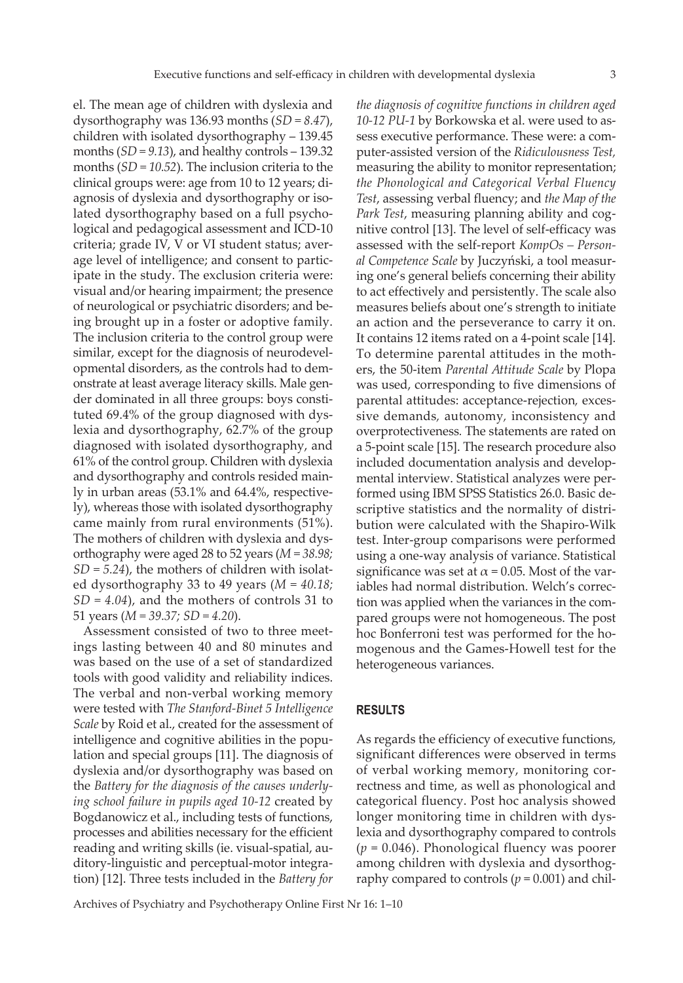el. The mean age of children with dyslexia and dysorthography was 136.93 months (*SD = 8.47*), children with isolated dysorthography – 139.45 months (*SD = 9.13*), and healthy controls – 139.32 months (*SD = 10.52*). The inclusion criteria to the clinical groups were: age from 10 to 12 years; diagnosis of dyslexia and dysorthography or isolated dysorthography based on a full psychological and pedagogical assessment and ICD-10 criteria; grade IV, V or VI student status; average level of intelligence; and consent to participate in the study. The exclusion criteria were: visual and/or hearing impairment; the presence of neurological or psychiatric disorders; and being brought up in a foster or adoptive family. The inclusion criteria to the control group were similar, except for the diagnosis of neurodevelopmental disorders, as the controls had to demonstrate at least average literacy skills. Male gender dominated in all three groups: boys constituted 69.4% of the group diagnosed with dyslexia and dysorthography, 62.7% of the group diagnosed with isolated dysorthography, and 61% of the control group. Children with dyslexia and dysorthography and controls resided mainly in urban areas (53.1% and 64.4%, respectively), whereas those with isolated dysorthography came mainly from rural environments (51%). The mothers of children with dyslexia and dysorthography were aged 28 to 52 years (*M = 38.98; SD = 5.24*), the mothers of children with isolated dysorthography 33 to 49 years (*M = 40.18; SD = 4.04*), and the mothers of controls 31 to 51 years (*M = 39.37; SD = 4.20*).

Assessment consisted of two to three meetings lasting between 40 and 80 minutes and was based on the use of a set of standardized tools with good validity and reliability indices. The verbal and non-verbal working memory were tested with *The Stanford-Binet 5 Intelligence Scale* by Roid et al., created for the assessment of intelligence and cognitive abilities in the population and special groups [11]. The diagnosis of dyslexia and/or dysorthography was based on the *Battery for the diagnosis of the causes underlying school failure in pupils aged 10-12* created by Bogdanowicz et al., including tests of functions, processes and abilities necessary for the efficient reading and writing skills (ie. visual-spatial, auditory-linguistic and perceptual-motor integration) [12]. Three tests included in the *Battery for* 

*the diagnosis of cognitive functions in children aged 10-12 PU-1* by Borkowska et al. were used to assess executive performance. These were: a computer-assisted version of the *Ridiculousness Test,* measuring the ability to monitor representation; *the Phonological and Categorical Verbal Fluency Test*, assessing verbal fluency; and *the Map of the Park Test*, measuring planning ability and cognitive control [13]. The level of self-efficacy was assessed with the self-report *KompOs – Personal Competence Scale* by Juczyński, a tool measuring one's general beliefs concerning their ability to act effectively and persistently. The scale also measures beliefs about one's strength to initiate an action and the perseverance to carry it on. It contains 12 items rated on a 4-point scale [14]. To determine parental attitudes in the mothers, the 50-item *Parental Attitude Scale* by Plopa was used, corresponding to five dimensions of parental attitudes: acceptance-rejection*,* excessive demands*,* autonomy*,* inconsistency and overprotectiveness*.* The statements are rated on a 5-point scale [15]. The research procedure also included documentation analysis and developmental interview. Statistical analyzes were performed using IBM SPSS Statistics 26.0. Basic descriptive statistics and the normality of distribution were calculated with the Shapiro-Wilk test. Inter-group comparisons were performed using a one-way analysis of variance. Statistical significance was set at  $\alpha$  = 0.05. Most of the variables had normal distribution. Welch's correction was applied when the variances in the compared groups were not homogeneous. The post hoc Bonferroni test was performed for the homogenous and the Games-Howell test for the heterogeneous variances.

#### **RESULTS**

As regards the efficiency of executive functions, significant differences were observed in terms of verbal working memory, monitoring correctness and time, as well as phonological and categorical fluency. Post hoc analysis showed longer monitoring time in children with dyslexia and dysorthography compared to controls (*p* = 0.046). Phonological fluency was poorer among children with dyslexia and dysorthography compared to controls  $(p = 0.001)$  and chil-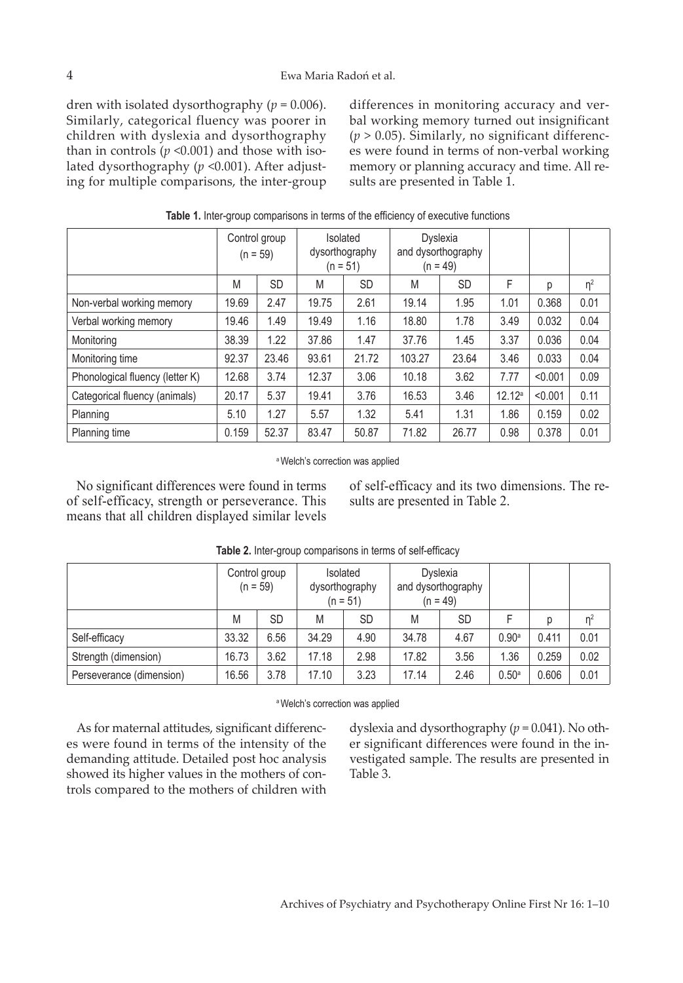dren with isolated dysorthography ( $p = 0.006$ ). Similarly, categorical fluency was poorer in children with dyslexia and dysorthography than in controls  $(p \le 0.001)$  and those with isolated dysorthography (*p* <0.001). After adjusting for multiple comparisons, the inter-group

differences in monitoring accuracy and verbal working memory turned out insignificant  $(p > 0.05)$ . Similarly, no significant differences were found in terms of non-verbal working memory or planning accuracy and time. All results are presented in Table 1.

|                                 | Control group<br>$(n = 59)$ |           | Isolated<br>dysorthography<br>$(n = 51)$ |           | <b>Dyslexia</b><br>and dysorthography<br>$(n = 49)$ |           |                    |         |          |
|---------------------------------|-----------------------------|-----------|------------------------------------------|-----------|-----------------------------------------------------|-----------|--------------------|---------|----------|
|                                 | M                           | <b>SD</b> | M                                        | <b>SD</b> | M                                                   | <b>SD</b> | F                  | р       | $\eta^2$ |
| Non-verbal working memory       | 19.69                       | 2.47      | 19.75                                    | 2.61      | 19.14                                               | 1.95      | 1.01               | 0.368   | 0.01     |
| Verbal working memory           | 19.46                       | 1.49      | 19.49                                    | 1.16      | 18.80                                               | 1.78      | 3.49               | 0.032   | 0.04     |
| Monitoring                      | 38.39                       | 1.22      | 37.86                                    | 1.47      | 37.76                                               | 1.45      | 3.37               | 0.036   | 0.04     |
| Monitoring time                 | 92.37                       | 23.46     | 93.61                                    | 21.72     | 103.27                                              | 23.64     | 3.46               | 0.033   | 0.04     |
| Phonological fluency (letter K) | 12.68                       | 3.74      | 12.37                                    | 3.06      | 10.18                                               | 3.62      | 7.77               | < 0.001 | 0.09     |
| Categorical fluency (animals)   | 20.17                       | 5.37      | 19.41                                    | 3.76      | 16.53                                               | 3.46      | 12.12 <sup>a</sup> | < 0.001 | 0.11     |
| Planning                        | 5.10                        | 1.27      | 5.57                                     | 1.32      | 5.41                                                | 1.31      | 1.86               | 0.159   | 0.02     |
| Planning time                   | 0.159                       | 52.37     | 83.47                                    | 50.87     | 71.82                                               | 26.77     | 0.98               | 0.378   | 0.01     |

|  |  | Table 1. Inter-group comparisons in terms of the efficiency of executive functions |  |  |  |  |  |  |
|--|--|------------------------------------------------------------------------------------|--|--|--|--|--|--|
|--|--|------------------------------------------------------------------------------------|--|--|--|--|--|--|

a Welch's correction was applied

No significant differences were found in terms of self-efficacy, strength or perseverance. This means that all children displayed similar levels of self-efficacy and its two dimensions. The results are presented in Table 2.

|                          | Control group<br>$(n = 59)$ |           | Isolated<br>dysorthography<br>$(n = 51)$ |      | <b>Dyslexia</b><br>and dysorthography<br>$(n = 49)$ |           |                   |       |          |
|--------------------------|-----------------------------|-----------|------------------------------------------|------|-----------------------------------------------------|-----------|-------------------|-------|----------|
|                          | M                           | <b>SD</b> | M                                        | SD   | M                                                   | <b>SD</b> |                   |       | $\eta^2$ |
| Self-efficacy            | 33.32                       | 6.56      | 34.29                                    | 4.90 | 34.78                                               | 4.67      | 0.90 <sup>a</sup> | 0.411 | 0.01     |
| Strength (dimension)     | 16.73                       | 3.62      | 17.18                                    | 2.98 | 17.82                                               | 3.56      | 1.36              | 0.259 | 0.02     |
| Perseverance (dimension) | 16.56                       | 3.78      | 17.10                                    | 3.23 | 17.14                                               | 2.46      | 0.50 <sup>a</sup> | 0.606 | 0.01     |

|  |  | Table 2. Inter-group comparisons in terms of self-efficacy |  |  |
|--|--|------------------------------------------------------------|--|--|
|--|--|------------------------------------------------------------|--|--|

a Welch's correction was applied

As for maternal attitudes, significant differences were found in terms of the intensity of the demanding attitude. Detailed post hoc analysis showed its higher values in the mothers of controls compared to the mothers of children with

dyslexia and dysorthography (*p* = 0.041). No other significant differences were found in the investigated sample. The results are presented in Table 3.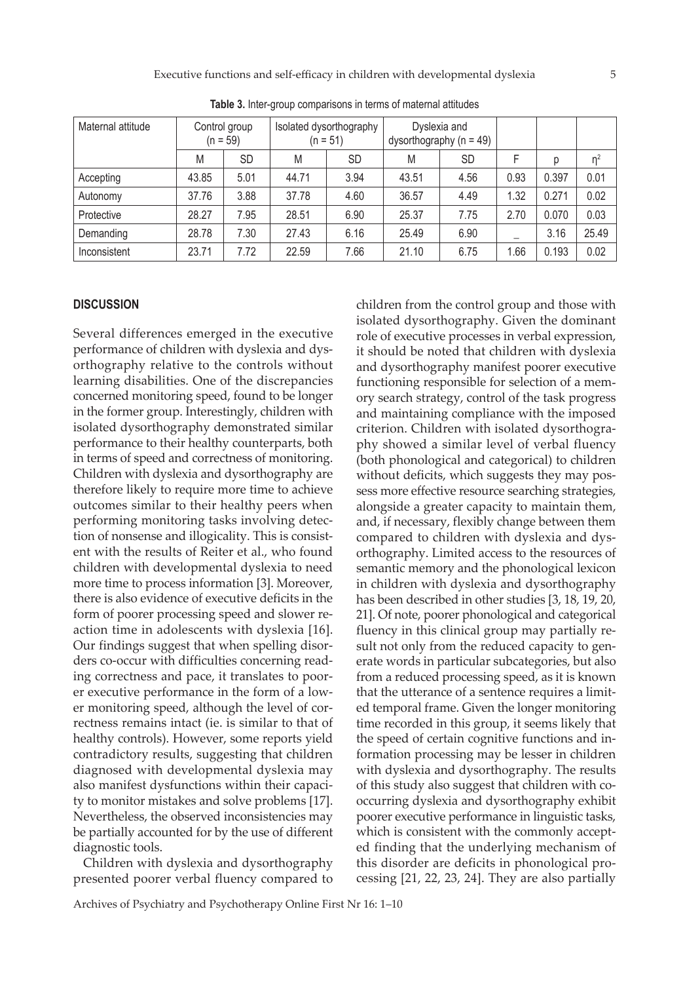| Maternal attitude | Control group<br>$(n = 59)$ |      | Isolated dysorthography<br>$(n = 51)$ |           | Dyslexia and<br>dysorthography ( $n = 49$ ) |      |      |       |          |
|-------------------|-----------------------------|------|---------------------------------------|-----------|---------------------------------------------|------|------|-------|----------|
|                   | M                           | SD   | M                                     | <b>SD</b> | M                                           | SD   | F    | р     | $\eta^2$ |
| Accepting         | 43.85                       | 5.01 | 44.71                                 | 3.94      | 43.51                                       | 4.56 | 0.93 | 0.397 | 0.01     |
| Autonomy          | 37.76                       | 3.88 | 37.78                                 | 4.60      | 36.57                                       | 4.49 | 1.32 | 0.271 | 0.02     |
| Protective        | 28.27                       | 7.95 | 28.51                                 | 6.90      | 25.37                                       | 7.75 | 2.70 | 0.070 | 0.03     |
| Demanding         | 28.78                       | 7.30 | 27.43                                 | 6.16      | 25.49                                       | 6.90 |      | 3.16  | 25.49    |
| Inconsistent      | 23.71                       | 7.72 | 22.59                                 | 7.66      | 21.10                                       | 6.75 | 1.66 | 0.193 | 0.02     |

**Table 3.** Inter-group comparisons in terms of maternal attitudes

#### **DISCUSSION**

Several differences emerged in the executive performance of children with dyslexia and dysorthography relative to the controls without learning disabilities. One of the discrepancies concerned monitoring speed, found to be longer in the former group. Interestingly, children with isolated dysorthography demonstrated similar performance to their healthy counterparts, both in terms of speed and correctness of monitoring. Children with dyslexia and dysorthography are therefore likely to require more time to achieve outcomes similar to their healthy peers when performing monitoring tasks involving detection of nonsense and illogicality. This is consistent with the results of Reiter et al., who found children with developmental dyslexia to need more time to process information [3]. Moreover, there is also evidence of executive deficits in the form of poorer processing speed and slower reaction time in adolescents with dyslexia [16]. Our findings suggest that when spelling disorders co-occur with difficulties concerning reading correctness and pace, it translates to poorer executive performance in the form of a lower monitoring speed, although the level of correctness remains intact (ie. is similar to that of healthy controls). However, some reports yield contradictory results, suggesting that children diagnosed with developmental dyslexia may also manifest dysfunctions within their capacity to monitor mistakes and solve problems [17]. Nevertheless, the observed inconsistencies may be partially accounted for by the use of different diagnostic tools.

Children with dyslexia and dysorthography presented poorer verbal fluency compared to

children from the control group and those with isolated dysorthography. Given the dominant role of executive processes in verbal expression, it should be noted that children with dyslexia and dysorthography manifest poorer executive functioning responsible for selection of a memory search strategy, control of the task progress and maintaining compliance with the imposed criterion. Children with isolated dysorthography showed a similar level of verbal fluency (both phonological and categorical) to children without deficits, which suggests they may possess more effective resource searching strategies, alongside a greater capacity to maintain them, and, if necessary, flexibly change between them compared to children with dyslexia and dysorthography. Limited access to the resources of semantic memory and the phonological lexicon in children with dyslexia and dysorthography has been described in other studies [3, 18, 19, 20, 21]. Of note, poorer phonological and categorical fluency in this clinical group may partially result not only from the reduced capacity to generate words in particular subcategories, but also from a reduced processing speed, as it is known that the utterance of a sentence requires a limited temporal frame. Given the longer monitoring time recorded in this group, it seems likely that the speed of certain cognitive functions and information processing may be lesser in children with dyslexia and dysorthography. The results of this study also suggest that children with cooccurring dyslexia and dysorthography exhibit poorer executive performance in linguistic tasks, which is consistent with the commonly accepted finding that the underlying mechanism of this disorder are deficits in phonological processing [21, 22, 23, 24]. They are also partially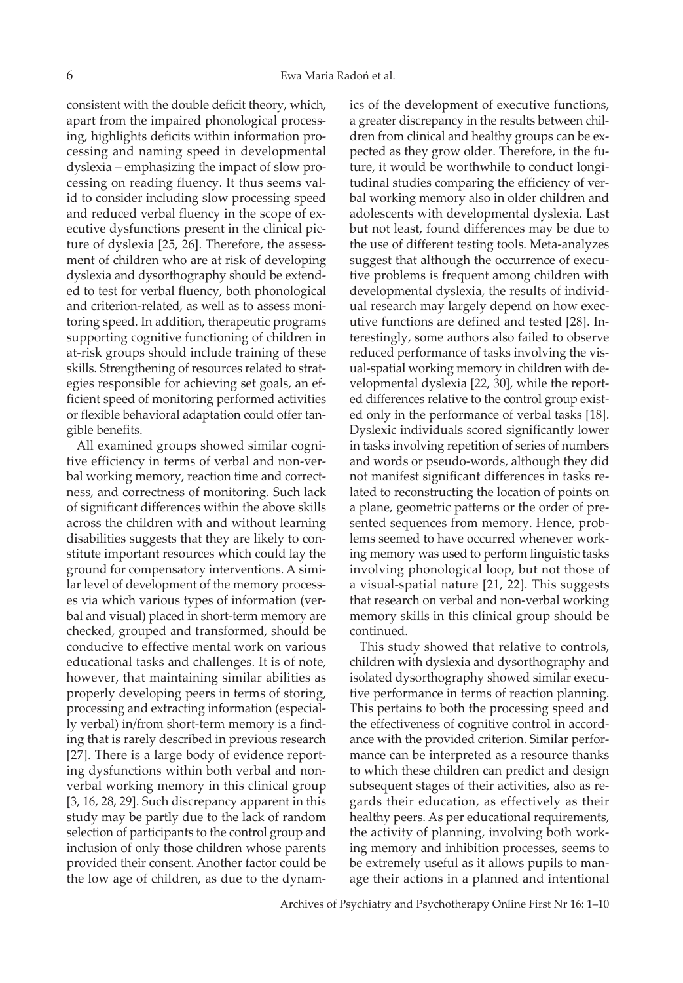consistent with the double deficit theory, which, apart from the impaired phonological processing, highlights deficits within information processing and naming speed in developmental dyslexia – emphasizing the impact of slow processing on reading fluency. It thus seems valid to consider including slow processing speed and reduced verbal fluency in the scope of executive dysfunctions present in the clinical picture of dyslexia [25, 26]. Therefore, the assessment of children who are at risk of developing dyslexia and dysorthography should be extended to test for verbal fluency, both phonological and criterion-related, as well as to assess monitoring speed. In addition, therapeutic programs supporting cognitive functioning of children in at-risk groups should include training of these skills. Strengthening of resources related to strategies responsible for achieving set goals, an efficient speed of monitoring performed activities or flexible behavioral adaptation could offer tangible benefits.

All examined groups showed similar cognitive efficiency in terms of verbal and non-verbal working memory, reaction time and correctness, and correctness of monitoring. Such lack of significant differences within the above skills across the children with and without learning disabilities suggests that they are likely to constitute important resources which could lay the ground for compensatory interventions. A similar level of development of the memory processes via which various types of information (verbal and visual) placed in short-term memory are checked, grouped and transformed, should be conducive to effective mental work on various educational tasks and challenges. It is of note, however, that maintaining similar abilities as properly developing peers in terms of storing, processing and extracting information (especially verbal) in/from short-term memory is a finding that is rarely described in previous research [27]. There is a large body of evidence reporting dysfunctions within both verbal and nonverbal working memory in this clinical group [3, 16, 28, 29]. Such discrepancy apparent in this study may be partly due to the lack of random selection of participants to the control group and inclusion of only those children whose parents provided their consent. Another factor could be the low age of children, as due to the dynamics of the development of executive functions, a greater discrepancy in the results between children from clinical and healthy groups can be expected as they grow older. Therefore, in the future, it would be worthwhile to conduct longitudinal studies comparing the efficiency of verbal working memory also in older children and adolescents with developmental dyslexia. Last but not least, found differences may be due to the use of different testing tools. Meta-analyzes suggest that although the occurrence of executive problems is frequent among children with developmental dyslexia, the results of individual research may largely depend on how executive functions are defined and tested [28]. Interestingly, some authors also failed to observe reduced performance of tasks involving the visual-spatial working memory in children with developmental dyslexia [22, 30], while the reported differences relative to the control group existed only in the performance of verbal tasks [18]. Dyslexic individuals scored significantly lower in tasks involving repetition of series of numbers and words or pseudo-words, although they did not manifest significant differences in tasks related to reconstructing the location of points on a plane, geometric patterns or the order of presented sequences from memory. Hence, problems seemed to have occurred whenever working memory was used to perform linguistic tasks involving phonological loop, but not those of a visual-spatial nature [21, 22]. This suggests that research on verbal and non-verbal working memory skills in this clinical group should be continued.

This study showed that relative to controls, children with dyslexia and dysorthography and isolated dysorthography showed similar executive performance in terms of reaction planning. This pertains to both the processing speed and the effectiveness of cognitive control in accordance with the provided criterion. Similar performance can be interpreted as a resource thanks to which these children can predict and design subsequent stages of their activities, also as regards their education, as effectively as their healthy peers. As per educational requirements, the activity of planning, involving both working memory and inhibition processes, seems to be extremely useful as it allows pupils to manage their actions in a planned and intentional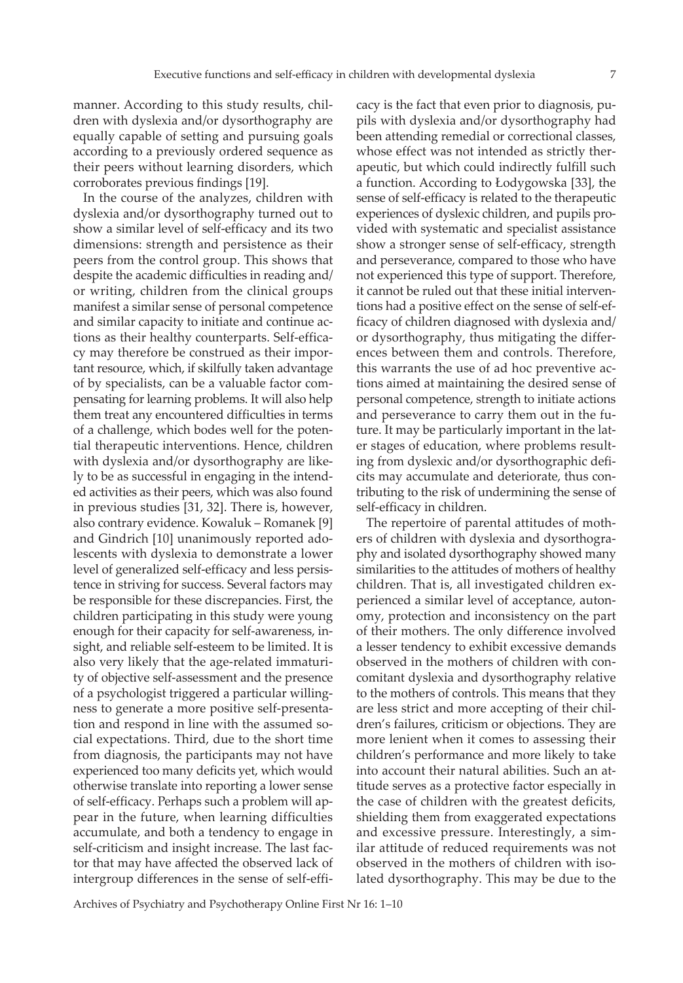manner. According to this study results, children with dyslexia and/or dysorthography are equally capable of setting and pursuing goals according to a previously ordered sequence as their peers without learning disorders, which corroborates previous findings [19].

In the course of the analyzes, children with dyslexia and/or dysorthography turned out to show a similar level of self-efficacy and its two dimensions: strength and persistence as their peers from the control group. This shows that despite the academic difficulties in reading and/ or writing, children from the clinical groups manifest a similar sense of personal competence and similar capacity to initiate and continue actions as their healthy counterparts. Self-efficacy may therefore be construed as their important resource, which, if skilfully taken advantage of by specialists, can be a valuable factor compensating for learning problems. It will also help them treat any encountered difficulties in terms of a challenge, which bodes well for the potential therapeutic interventions. Hence, children with dyslexia and/or dysorthography are likely to be as successful in engaging in the intended activities as their peers, which was also found in previous studies [31, 32]. There is, however, also contrary evidence. Kowaluk – Romanek [9] and Gindrich [10] unanimously reported adolescents with dyslexia to demonstrate a lower level of generalized self-efficacy and less persistence in striving for success. Several factors may be responsible for these discrepancies. First, the children participating in this study were young enough for their capacity for self-awareness, insight, and reliable self-esteem to be limited. It is also very likely that the age-related immaturity of objective self-assessment and the presence of a psychologist triggered a particular willingness to generate a more positive self-presentation and respond in line with the assumed social expectations. Third, due to the short time from diagnosis, the participants may not have experienced too many deficits yet, which would otherwise translate into reporting a lower sense of self-efficacy. Perhaps such a problem will appear in the future, when learning difficulties accumulate, and both a tendency to engage in self-criticism and insight increase. The last factor that may have affected the observed lack of intergroup differences in the sense of self-effi-

cacy is the fact that even prior to diagnosis, pupils with dyslexia and/or dysorthography had been attending remedial or correctional classes, whose effect was not intended as strictly therapeutic, but which could indirectly fulfill such a function. According to Łodygowska [33], the sense of self-efficacy is related to the therapeutic experiences of dyslexic children, and pupils provided with systematic and specialist assistance show a stronger sense of self-efficacy, strength and perseverance, compared to those who have not experienced this type of support. Therefore, it cannot be ruled out that these initial interventions had a positive effect on the sense of self-efficacy of children diagnosed with dyslexia and/ or dysorthography, thus mitigating the differences between them and controls. Therefore, this warrants the use of ad hoc preventive actions aimed at maintaining the desired sense of personal competence, strength to initiate actions and perseverance to carry them out in the future. It may be particularly important in the later stages of education, where problems resulting from dyslexic and/or dysorthographic deficits may accumulate and deteriorate, thus contributing to the risk of undermining the sense of self-efficacy in children.

The repertoire of parental attitudes of mothers of children with dyslexia and dysorthography and isolated dysorthography showed many similarities to the attitudes of mothers of healthy children. That is, all investigated children experienced a similar level of acceptance, autonomy, protection and inconsistency on the part of their mothers. The only difference involved a lesser tendency to exhibit excessive demands observed in the mothers of children with concomitant dyslexia and dysorthography relative to the mothers of controls. This means that they are less strict and more accepting of their children's failures, criticism or objections. They are more lenient when it comes to assessing their children's performance and more likely to take into account their natural abilities. Such an attitude serves as a protective factor especially in the case of children with the greatest deficits, shielding them from exaggerated expectations and excessive pressure. Interestingly, a similar attitude of reduced requirements was not observed in the mothers of children with isolated dysorthography. This may be due to the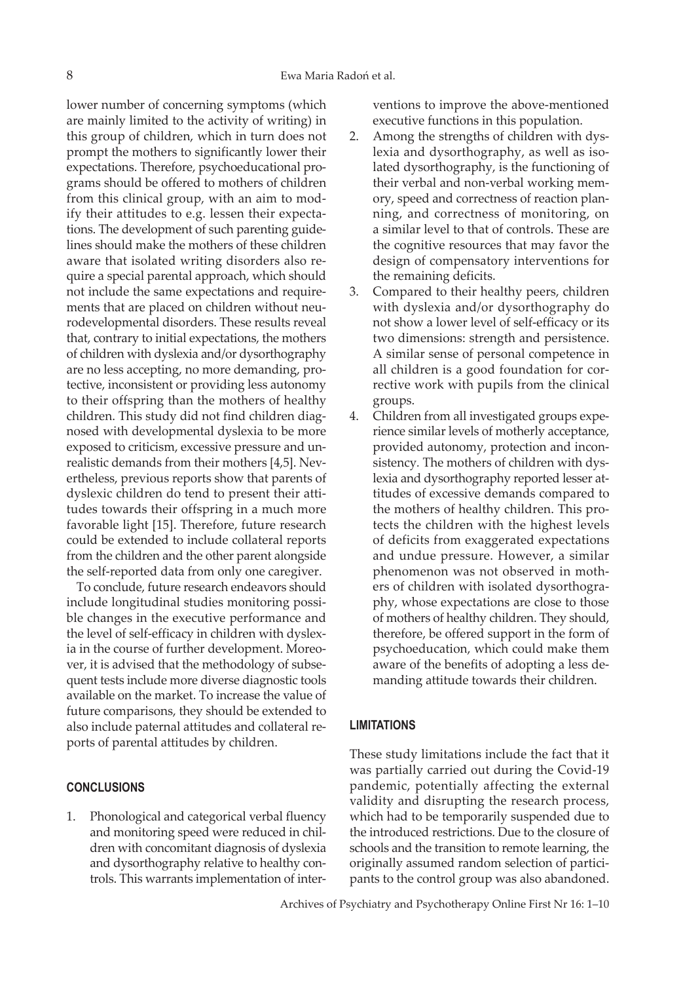lower number of concerning symptoms (which are mainly limited to the activity of writing) in this group of children, which in turn does not prompt the mothers to significantly lower their expectations. Therefore, psychoeducational programs should be offered to mothers of children from this clinical group, with an aim to modify their attitudes to e.g. lessen their expectations. The development of such parenting guidelines should make the mothers of these children aware that isolated writing disorders also require a special parental approach, which should not include the same expectations and requirements that are placed on children without neurodevelopmental disorders. These results reveal that, contrary to initial expectations, the mothers of children with dyslexia and/or dysorthography are no less accepting, no more demanding, protective, inconsistent or providing less autonomy to their offspring than the mothers of healthy children. This study did not find children diagnosed with developmental dyslexia to be more exposed to criticism, excessive pressure and unrealistic demands from their mothers [4,5]. Nevertheless, previous reports show that parents of dyslexic children do tend to present their attitudes towards their offspring in a much more favorable light [15]. Therefore, future research could be extended to include collateral reports from the children and the other parent alongside the self-reported data from only one caregiver.

To conclude, future research endeavors should include longitudinal studies monitoring possible changes in the executive performance and the level of self-efficacy in children with dyslexia in the course of further development. Moreover, it is advised that the methodology of subsequent tests include more diverse diagnostic tools available on the market. To increase the value of future comparisons, they should be extended to also include paternal attitudes and collateral reports of parental attitudes by children.

# **CONCLUSIONS**

1. Phonological and categorical verbal fluency and monitoring speed were reduced in children with concomitant diagnosis of dyslexia and dysorthography relative to healthy controls. This warrants implementation of interventions to improve the above-mentioned executive functions in this population.

- 2. Among the strengths of children with dyslexia and dysorthography, as well as isolated dysorthography, is the functioning of their verbal and non-verbal working memory, speed and correctness of reaction planning, and correctness of monitoring, on a similar level to that of controls. These are the cognitive resources that may favor the design of compensatory interventions for the remaining deficits.
- 3. Compared to their healthy peers, children with dyslexia and/or dysorthography do not show a lower level of self-efficacy or its two dimensions: strength and persistence. A similar sense of personal competence in all children is a good foundation for corrective work with pupils from the clinical groups.
- 4. Children from all investigated groups experience similar levels of motherly acceptance, provided autonomy, protection and inconsistency*.* The mothers of children with dyslexia and dysorthography reported lesser attitudes of excessive demands compared to the mothers of healthy children. This protects the children with the highest levels of deficits from exaggerated expectations and undue pressure. However, a similar phenomenon was not observed in mothers of children with isolated dysorthography, whose expectations are close to those of mothers of healthy children. They should, therefore, be offered support in the form of psychoeducation, which could make them aware of the benefits of adopting a less demanding attitude towards their children.

## **LIMITATIONS**

These study limitations include the fact that it was partially carried out during the Covid-19 pandemic, potentially affecting the external validity and disrupting the research process, which had to be temporarily suspended due to the introduced restrictions. Due to the closure of schools and the transition to remote learning, the originally assumed random selection of participants to the control group was also abandoned.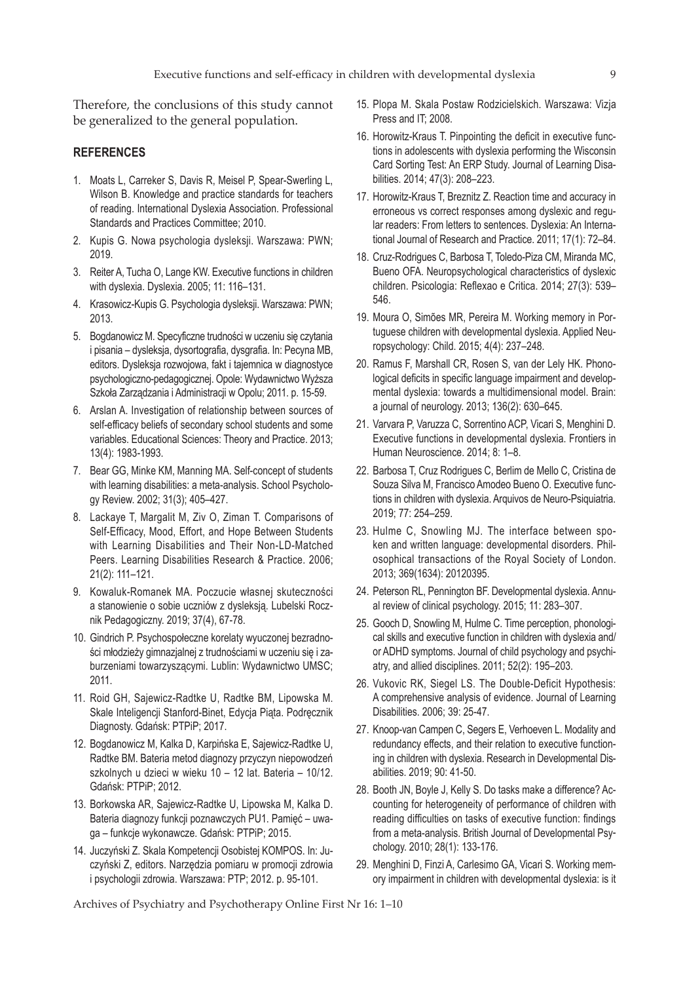Therefore, the conclusions of this study cannot be generalized to the general population.

## **REFERENCES**

- 1. Moats L, Carreker S, Davis R, Meisel P, Spear-Swerling L, Wilson B. Knowledge and practice standards for teachers of reading. International Dyslexia Association. Professional Standards and Practices Committee; 2010.
- 2. Kupis G. Nowa psychologia dysleksji. Warszawa: PWN; 2019.
- 3. Reiter A, Tucha O, Lange KW. Executive functions in children with dyslexia. Dyslexia. 2005; 11: 116–131.
- 4. Krasowicz-Kupis G. Psychologia dysleksji. Warszawa: PWN; 2013.
- 5. Bogdanowicz M. Specyficzne trudności w uczeniu się czytania i pisania – dysleksja, dysortografia, dysgrafia. In: Pecyna MB, editors. Dysleksja rozwojowa, fakt i tajemnica w diagnostyce psychologiczno-pedagogicznej. Opole: Wydawnictwo Wyższa Szkoła Zarządzania i Administracji w Opolu; 2011. p. 15-59.
- 6. Arslan A. Investigation of relationship between sources of self-efficacy beliefs of secondary school students and some variables. Educational Sciences: Theory and Practice. 2013; 13(4): 1983-1993.
- 7. Bear GG, Minke KM, Manning MA. Self-concept of students with learning disabilities: a meta-analysis. School Psychology Review. 2002; 31(3); 405–427.
- 8. Lackaye T, Margalit M, Ziv O, Ziman T. Comparisons of Self-Efficacy, Mood, Effort, and Hope Between Students with Learning Disabilities and Their Non-LD-Matched Peers. Learning Disabilities Research & Practice. 2006; 21(2): 111–121.
- 9. Kowaluk-Romanek MA. Poczucie własnej skuteczności a stanowienie o sobie uczniów z dysleksją. Lubelski Rocznik Pedagogiczny. 2019; 37(4), 67-78.
- 10. Gindrich P. Psychospołeczne korelaty wyuczonej bezradności młodzieży gimnazjalnej z trudnościami w uczeniu się i zaburzeniami towarzyszącymi. Lublin: Wydawnictwo UMSC; 2011.
- 11. Roid GH, Sajewicz-Radtke U, Radtke BM, Lipowska M. Skale Inteligencji Stanford-Binet, Edycja Piąta. Podręcznik Diagnosty. Gdańsk: PTPiP; 2017.
- 12. Bogdanowicz M, Kalka D, Karpińska E, Sajewicz-Radtke U, Radtke BM. Bateria metod diagnozy przyczyn niepowodzeń szkolnych u dzieci w wieku 10 – 12 lat. Bateria – 10/12. Gdańsk: PTPiP; 2012.
- 13. Borkowska AR, Sajewicz-Radtke U, Lipowska M, Kalka D. Bateria diagnozy funkcji poznawczych PU1. Pamięć – uwaga – funkcje wykonawcze. Gdańsk: PTPiP; 2015.
- 14. Juczyński Z. Skala Kompetencji Osobistej KOMPOS. In: Juczyński Z, editors. Narzędzia pomiaru w promocji zdrowia i psychologii zdrowia. Warszawa: PTP; 2012. p. 95-101.
- 15. Plopa M. Skala Postaw Rodzicielskich. Warszawa: Vizja Press and IT; 2008.
- 16. Horowitz-Kraus T. Pinpointing the deficit in executive functions in adolescents with dyslexia performing the Wisconsin Card Sorting Test: An ERP Study. Journal of Learning Disabilities. 2014; 47(3): 208–223.
- 17. Horowitz-Kraus T, Breznitz Z. Reaction time and accuracy in erroneous vs correct responses among dyslexic and regular readers: From letters to sentences. Dyslexia: An International Journal of Research and Practice. 2011; 17(1): 72–84.
- 18. Cruz-Rodrigues C, Barbosa T, Toledo-Piza CM, Miranda MC, Bueno OFA. Neuropsychological characteristics of dyslexic children. Psicologia: Reflexao e Critica. 2014; 27(3): 539– 546.
- 19. Moura O, Simões MR, Pereira M. Working memory in Portuguese children with developmental dyslexia. Applied Neuropsychology: Child. 2015; 4(4): 237–248.
- 20. Ramus F, Marshall CR, Rosen S, van der Lely HK. Phonological deficits in specific language impairment and developmental dyslexia: towards a multidimensional model. Brain: a journal of neurology. 2013; 136(2): 630–645.
- 21. Varvara P, Varuzza C, Sorrentino ACP, Vicari S, Menghini D. Executive functions in developmental dyslexia. Frontiers in Human Neuroscience. 2014; 8: 1–8.
- 22. Barbosa T, Cruz Rodrigues C, Berlim de Mello C, Cristina de Souza Silva M, Francisco Amodeo Bueno O. Executive functions in children with dyslexia. Arquivos de Neuro-Psiquiatria. 2019; 77: 254–259.
- 23. Hulme C, Snowling MJ. The interface between spoken and written language: developmental disorders. Philosophical transactions of the Royal Society of London. 2013; 369(1634): 20120395.
- 24. Peterson RL, Pennington BF. Developmental dyslexia. Annual review of clinical psychology. 2015; 11: 283–307.
- 25. Gooch D, Snowling M, Hulme C. Time perception, phonological skills and executive function in children with dyslexia and/ or ADHD symptoms. Journal of child psychology and psychiatry, and allied disciplines. 2011; 52(2): 195–203.
- 26. Vukovic RK, Siegel LS. The Double-Deficit Hypothesis: A comprehensive analysis of evidence. Journal of Learning Disabilities. 2006; 39: 25-47.
- 27. Knoop-van Campen C, Segers E, Verhoeven L. Modality and redundancy effects, and their relation to executive functioning in children with dyslexia. Research in Developmental Disabilities. 2019; 90: 41-50.
- 28. Booth JN, Boyle J, Kelly S. Do tasks make a difference? Accounting for heterogeneity of performance of children with reading difficulties on tasks of executive function: findings from a meta-analysis. British Journal of Developmental Psychology. 2010; 28(1): 133-176.
- 29. Menghini D, Finzi A, Carlesimo GA, Vicari S. Working memory impairment in children with developmental dyslexia: is it